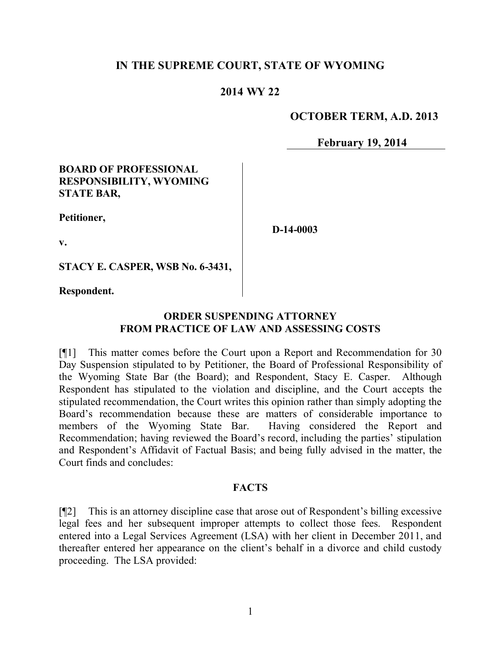## **IN THE SUPREME COURT, STATE OF WYOMING**

#### **2014 WY 22**

#### **OCTOBER TERM, A.D. 2013**

**February 19, 2014**

#### **BOARD OF PROFESSIONAL RESPONSIBILITY, WYOMING STATE BAR,**

**Petitioner,**

**v.**

**D-14-0003**

**STACY E. CASPER, WSB No. 6-3431,**

**Respondent.**

## **ORDER SUSPENDING ATTORNEY FROM PRACTICE OF LAW AND ASSESSING COSTS**

[¶1] This matter comes before the Court upon a Report and Recommendation for 30 Day Suspension stipulated to by Petitioner, the Board of Professional Responsibility of the Wyoming State Bar (the Board); and Respondent, Stacy E. Casper. Although Respondent has stipulated to the violation and discipline, and the Court accepts the stipulated recommendation, the Court writes this opinion rather than simply adopting the Board's recommendation because these are matters of considerable importance to members of the Wyoming State Bar. Having considered the Report and Recommendation; having reviewed the Board's record, including the parties' stipulation and Respondent's Affidavit of Factual Basis; and being fully advised in the matter, the Court finds and concludes:

#### **FACTS**

[¶2] This is an attorney discipline case that arose out of Respondent's billing excessive legal fees and her subsequent improper attempts to collect those fees. Respondent entered into a Legal Services Agreement (LSA) with her client in December 2011, and thereafter entered her appearance on the client's behalf in a divorce and child custody proceeding. The LSA provided: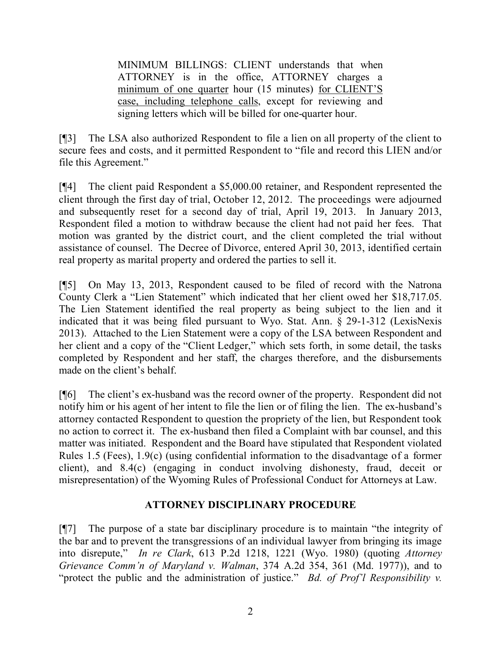MINIMUM BILLINGS: CLIENT understands that when ATTORNEY is in the office, ATTORNEY charges a minimum of one quarter hour (15 minutes) for CLIENT'S case, including telephone calls, except for reviewing and signing letters which will be billed for one-quarter hour.

[¶3] The LSA also authorized Respondent to file a lien on all property of the client to secure fees and costs, and it permitted Respondent to "file and record this LIEN and/or file this Agreement."

[¶4] The client paid Respondent a \$5,000.00 retainer, and Respondent represented the client through the first day of trial, October 12, 2012. The proceedings were adjourned and subsequently reset for a second day of trial, April 19, 2013. In January 2013, Respondent filed a motion to withdraw because the client had not paid her fees. That motion was granted by the district court, and the client completed the trial without assistance of counsel. The Decree of Divorce, entered April 30, 2013, identified certain real property as marital property and ordered the parties to sell it.

[¶5] On May 13, 2013, Respondent caused to be filed of record with the Natrona County Clerk a "Lien Statement" which indicated that her client owed her \$18,717.05. The Lien Statement identified the real property as being subject to the lien and it indicated that it was being filed pursuant to Wyo. Stat. Ann. § 29-1-312 (LexisNexis 2013). Attached to the Lien Statement were a copy of the LSA between Respondent and her client and a copy of the "Client Ledger," which sets forth, in some detail, the tasks completed by Respondent and her staff, the charges therefore, and the disbursements made on the client's behalf.

[¶6] The client's ex-husband was the record owner of the property. Respondent did not notify him or his agent of her intent to file the lien or of filing the lien. The ex-husband's attorney contacted Respondent to question the propriety of the lien, but Respondent took no action to correct it. The ex-husband then filed a Complaint with bar counsel, and this matter was initiated. Respondent and the Board have stipulated that Respondent violated Rules 1.5 (Fees), 1.9(c) (using confidential information to the disadvantage of a former client), and 8.4(c) (engaging in conduct involving dishonesty, fraud, deceit or misrepresentation) of the Wyoming Rules of Professional Conduct for Attorneys at Law.

## **ATTORNEY DISCIPLINARY PROCEDURE**

[¶7] The purpose of a state bar disciplinary procedure is to maintain "the integrity of the bar and to prevent the transgressions of an individual lawyer from bringing its image into disrepute," *In re Clark*, 613 P.2d 1218, 1221 (Wyo. 1980) (quoting *Attorney Grievance Comm'n of Maryland v. Walman*, 374 A.2d 354, 361 (Md. 1977)), and to "protect the public and the administration of justice." *Bd. of Prof'l Responsibility v.*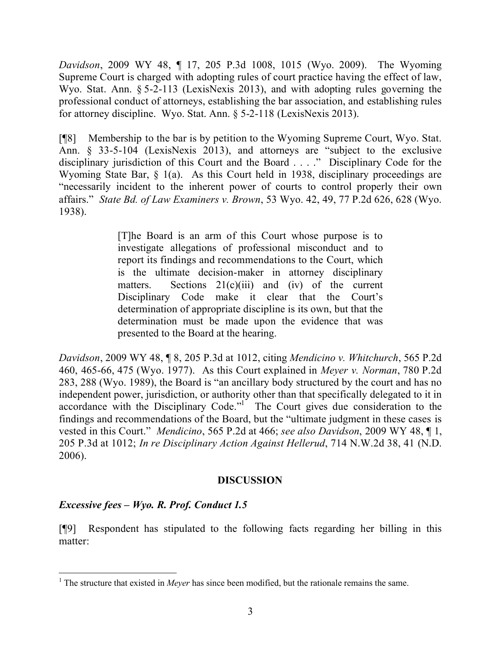*Davidson*, 2009 WY 48, ¶ 17, 205 P.3d 1008, 1015 (Wyo. 2009). The Wyoming Supreme Court is charged with adopting rules of court practice having the effect of law, Wyo. Stat. Ann. § 5-2-113 (LexisNexis 2013), and with adopting rules governing the professional conduct of attorneys, establishing the bar association, and establishing rules for attorney discipline. Wyo. Stat. Ann. § 5-2-118 (LexisNexis 2013).

[¶8] Membership to the bar is by petition to the Wyoming Supreme Court, Wyo. Stat. Ann. § 33-5-104 (LexisNexis 2013), and attorneys are "subject to the exclusive disciplinary jurisdiction of this Court and the Board . . . ." Disciplinary Code for the Wyoming State Bar, § 1(a). As this Court held in 1938, disciplinary proceedings are "necessarily incident to the inherent power of courts to control properly their own affairs." *State Bd. of Law Examiners v. Brown*, 53 Wyo. 42, 49, 77 P.2d 626, 628 (Wyo. 1938).

> [T]he Board is an arm of this Court whose purpose is to investigate allegations of professional misconduct and to report its findings and recommendations to the Court, which is the ultimate decision-maker in attorney disciplinary matters. Sections  $21(c)(iii)$  and (iv) of the current Disciplinary Code make it clear that the Court's determination of appropriate discipline is its own, but that the determination must be made upon the evidence that was presented to the Board at the hearing.

*Davidson*, 2009 WY 48, ¶ 8, 205 P.3d at 1012, citing *Mendicino v. Whitchurch*, 565 P.2d 460, 465-66, 475 (Wyo. 1977). As this Court explained in *Meyer v. Norman*, 780 P.2d 283, 288 (Wyo. 1989), the Board is "an ancillary body structured by the court and has no independent power, jurisdiction, or authority other than that specifically delegated to it in accordance with the Disciplinary Code."<sup>1</sup> The Court gives due consideration to the findings and recommendations of the Board, but the "ultimate judgment in these cases is vested in this Court." *Mendicino*, 565 P.2d at 466; *see also Davidson*, 2009 WY 48, ¶ 1, 205 P.3d at 1012; *In re Disciplinary Action Against Hellerud*, 714 N.W.2d 38, 41 (N.D. 2006).

#### **DISCUSSION**

## *Excessive fees – Wyo. R. Prof. Conduct 1.5*

[¶9] Respondent has stipulated to the following facts regarding her billing in this matter:

<sup>&</sup>lt;sup>1</sup> The structure that existed in *Meyer* has since been modified, but the rationale remains the same.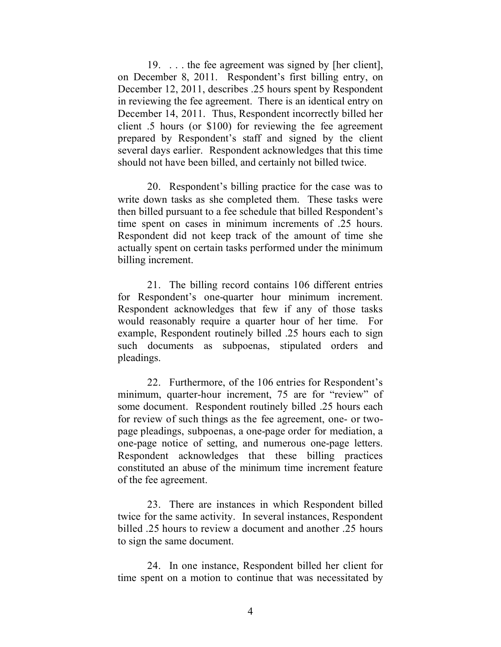19. . . . the fee agreement was signed by [her client], on December 8, 2011. Respondent's first billing entry, on December 12, 2011, describes .25 hours spent by Respondent in reviewing the fee agreement. There is an identical entry on December 14, 2011. Thus, Respondent incorrectly billed her client .5 hours (or \$100) for reviewing the fee agreement prepared by Respondent's staff and signed by the client several days earlier. Respondent acknowledges that this time should not have been billed, and certainly not billed twice.

20. Respondent's billing practice for the case was to write down tasks as she completed them. These tasks were then billed pursuant to a fee schedule that billed Respondent's time spent on cases in minimum increments of .25 hours. Respondent did not keep track of the amount of time she actually spent on certain tasks performed under the minimum billing increment.

21. The billing record contains 106 different entries for Respondent's one-quarter hour minimum increment. Respondent acknowledges that few if any of those tasks would reasonably require a quarter hour of her time. For example, Respondent routinely billed .25 hours each to sign such documents as subpoenas, stipulated orders and pleadings.

22. Furthermore, of the 106 entries for Respondent's minimum, quarter-hour increment, 75 are for "review" of some document. Respondent routinely billed .25 hours each for review of such things as the fee agreement, one- or twopage pleadings, subpoenas, a one-page order for mediation, a one-page notice of setting, and numerous one-page letters. Respondent acknowledges that these billing practices constituted an abuse of the minimum time increment feature of the fee agreement.

23. There are instances in which Respondent billed twice for the same activity. In several instances, Respondent billed .25 hours to review a document and another .25 hours to sign the same document.

24. In one instance, Respondent billed her client for time spent on a motion to continue that was necessitated by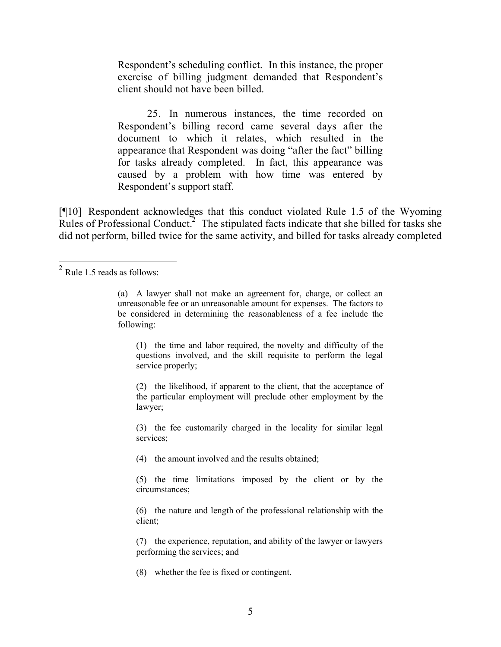Respondent's scheduling conflict. In this instance, the proper exercise of billing judgment demanded that Respondent's client should not have been billed.

25. In numerous instances, the time recorded on Respondent's billing record came several days after the document to which it relates, which resulted in the appearance that Respondent was doing "after the fact" billing for tasks already completed. In fact, this appearance was caused by a problem with how time was entered by Respondent's support staff.

[¶10] Respondent acknowledges that this conduct violated Rule 1.5 of the Wyoming Rules of Professional Conduct.<sup>2</sup> The stipulated facts indicate that she billed for tasks she did not perform, billed twice for the same activity, and billed for tasks already completed

(1) the time and labor required, the novelty and difficulty of the questions involved, and the skill requisite to perform the legal service properly;

(2) the likelihood, if apparent to the client, that the acceptance of the particular employment will preclude other employment by the lawyer;

(3) the fee customarily charged in the locality for similar legal services;

(4) the amount involved and the results obtained;

(5) the time limitations imposed by the client or by the circumstances;

(6) the nature and length of the professional relationship with the client;

(7) the experience, reputation, and ability of the lawyer or lawyers performing the services; and

(8) whether the fee is fixed or contingent.

<sup>&</sup>lt;sup>2</sup> Rule 1.5 reads as follows:

<sup>(</sup>a) A lawyer shall not make an agreement for, charge, or collect an unreasonable fee or an unreasonable amount for expenses. The factors to be considered in determining the reasonableness of a fee include the following: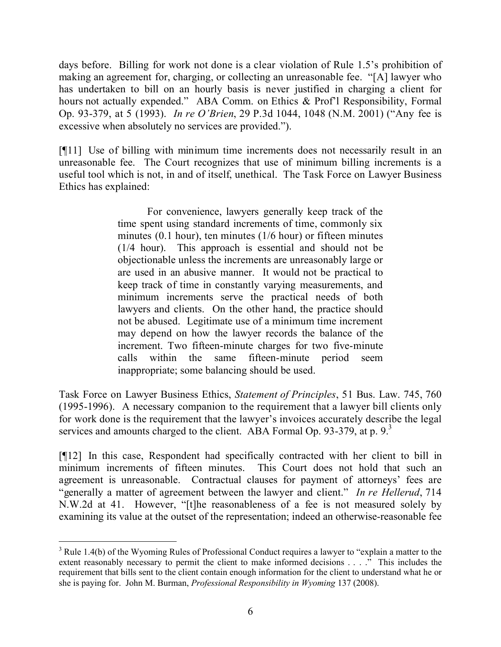days before. Billing for work not done is a clear violation of Rule 1.5's prohibition of making an agreement for, charging, or collecting an unreasonable fee. "[A] lawyer who has undertaken to bill on an hourly basis is never justified in charging a client for hours not actually expended." ABA Comm. on Ethics & Prof'l Responsibility, Formal Op. 93-379, at 5 (1993). *In re O'Brien*, 29 P.3d 1044, 1048 (N.M. 2001) ("Any fee is excessive when absolutely no services are provided.").

[¶11] Use of billing with minimum time increments does not necessarily result in an unreasonable fee. The Court recognizes that use of minimum billing increments is a useful tool which is not, in and of itself, unethical. The Task Force on Lawyer Business Ethics has explained:

> For convenience, lawyers generally keep track of the time spent using standard increments of time, commonly six minutes (0.1 hour), ten minutes (1/6 hour) or fifteen minutes (1/4 hour). This approach is essential and should not be objectionable unless the increments are unreasonably large or are used in an abusive manner. It would not be practical to keep track of time in constantly varying measurements, and minimum increments serve the practical needs of both lawyers and clients. On the other hand, the practice should not be abused. Legitimate use of a minimum time increment may depend on how the lawyer records the balance of the increment. Two fifteen-minute charges for two five-minute calls within the same fifteen-minute period seem inappropriate; some balancing should be used.

Task Force on Lawyer Business Ethics, *Statement of Principles*, 51 Bus. Law. 745, 760 (1995-1996). A necessary companion to the requirement that a lawyer bill clients only for work done is the requirement that the lawyer's invoices accurately describe the legal services and amounts charged to the client. ABA Formal Op. 93-379, at p.  $9<sup>3</sup>$ 

[¶12] In this case, Respondent had specifically contracted with her client to bill in minimum increments of fifteen minutes. This Court does not hold that such an agreement is unreasonable. Contractual clauses for payment of attorneys' fees are "generally a matter of agreement between the lawyer and client." *In re Hellerud*, 714 N.W.2d at 41. However, "[t]he reasonableness of a fee is not measured solely by examining its value at the outset of the representation; indeed an otherwise-reasonable fee

  $3$  Rule 1.4(b) of the Wyoming Rules of Professional Conduct requires a lawyer to "explain a matter to the extent reasonably necessary to permit the client to make informed decisions . . . ." This includes the requirement that bills sent to the client contain enough information for the client to understand what he or she is paying for. John M. Burman, *Professional Responsibility in Wyoming* 137 (2008).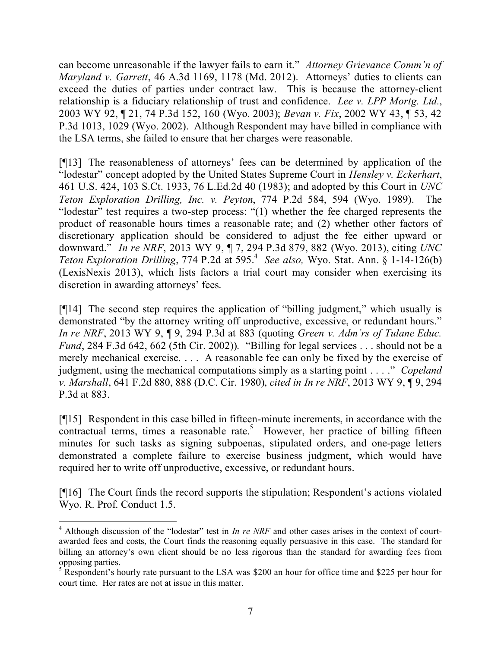can become unreasonable if the lawyer fails to earn it." *Attorney Grievance Comm'n of Maryland v. Garrett*, 46 A.3d 1169, 1178 (Md. 2012). Attorneys' duties to clients can exceed the duties of parties under contract law. This is because the attorney-client relationship is a fiduciary relationship of trust and confidence. *Lee v. LPP Mortg. Ltd.*, 2003 WY 92, ¶ 21, 74 P.3d 152, 160 (Wyo. 2003); *Bevan v. Fix*, 2002 WY 43, ¶ 53, 42 P.3d 1013, 1029 (Wyo. 2002). Although Respondent may have billed in compliance with the LSA terms, she failed to ensure that her charges were reasonable.

[¶13] The reasonableness of attorneys' fees can be determined by application of the "lodestar" concept adopted by the United States Supreme Court in *Hensley v. Eckerhart*, 461 U.S. 424, 103 S.Ct. 1933, 76 L.Ed.2d 40 (1983); and adopted by this Court in *UNC Teton Exploration Drilling, Inc. v. Peyton*, 774 P.2d 584, 594 (Wyo. 1989). The "lodestar" test requires a two-step process: "(1) whether the fee charged represents the product of reasonable hours times a reasonable rate; and (2) whether other factors of discretionary application should be considered to adjust the fee either upward or downward." *In re NRF*, 2013 WY 9, ¶ 7, 294 P.3d 879, 882 (Wyo. 2013), citing *UNC*  Teton Exploration Drilling, 774 P.2d at 595.<sup>4</sup> See also, Wyo. Stat. Ann. § 1-14-126(b) (LexisNexis 2013), which lists factors a trial court may consider when exercising its discretion in awarding attorneys' fees.

[¶14] The second step requires the application of "billing judgment," which usually is demonstrated "by the attorney writing off unproductive, excessive, or redundant hours." *In re NRF*, 2013 WY 9, ¶ 9, 294 P.3d at 883 (quoting *Green v. Adm'rs of Tulane Educ. Fund*, 284 F.3d 642, 662 (5th Cir. 2002)). "Billing for legal services . . . should not be a merely mechanical exercise. . . . A reasonable fee can only be fixed by the exercise of judgment, using the mechanical computations simply as a starting point . . . ." *Copeland v. Marshall*, 641 F.2d 880, 888 (D.C. Cir. 1980), *cited in In re NRF*, 2013 WY 9, ¶ 9, 294 P.3d at 883.

[¶15] Respondent in this case billed in fifteen-minute increments, in accordance with the  $\overline{\text{contractual}}$  terms, times a reasonable rate.<sup>5</sup> However, her practice of billing fifteen minutes for such tasks as signing subpoenas, stipulated orders, and one-page letters demonstrated a complete failure to exercise business judgment, which would have required her to write off unproductive, excessive, or redundant hours.

[¶16] The Court finds the record supports the stipulation; Respondent's actions violated Wyo. R. Prof. Conduct 1.5.

 <sup>4</sup> Although discussion of the "lodestar" test in *In re NRF* and other cases arises in the context of courtawarded fees and costs, the Court finds the reasoning equally persuasive in this case. The standard for billing an attorney's own client should be no less rigorous than the standard for awarding fees from opposing parties.

<sup>&</sup>lt;sup>5</sup> Respondent's hourly rate pursuant to the LSA was \$200 an hour for office time and \$225 per hour for court time. Her rates are not at issue in this matter.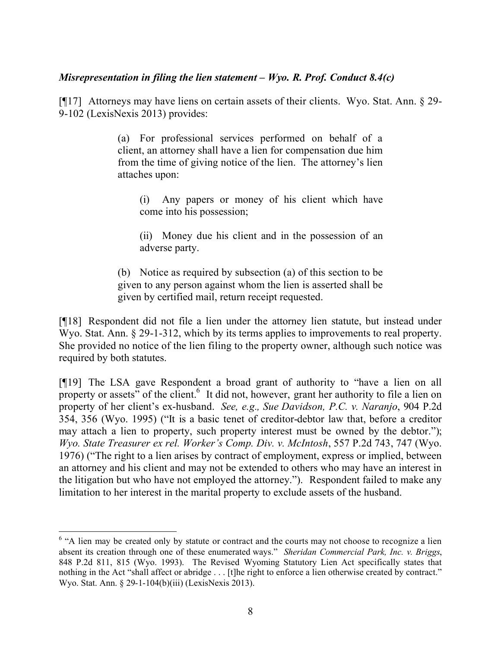#### *Misrepresentation in filing the lien statement – Wyo. R. Prof. Conduct 8.4(c)*

[¶17] Attorneys may have liens on certain assets of their clients. Wyo. Stat. Ann. § 29- 9-102 (LexisNexis 2013) provides:

> (a) For professional services performed on behalf of a client, an attorney shall have a lien for compensation due him from the time of giving notice of the lien. The attorney's lien attaches upon:

(i) Any papers or money of his client which have come into his possession;

(ii) Money due his client and in the possession of an adverse party.

(b) Notice as required by subsection (a) of this section to be given to any person against whom the lien is asserted shall be given by certified mail, return receipt requested.

[¶18] Respondent did not file a lien under the attorney lien statute, but instead under Wyo. Stat. Ann. § 29-1-312, which by its terms applies to improvements to real property. She provided no notice of the lien filing to the property owner, although such notice was required by both statutes.

[¶19] The LSA gave Respondent a broad grant of authority to "have a lien on all property or assets" of the client.<sup>6</sup> It did not, however, grant her authority to file a lien on property of her client's ex-husband. *See, e.g., Sue Davidson, P.C. v. Naranjo*, 904 P.2d 354, 356 (Wyo. 1995) ("It is a basic tenet of creditor-debtor law that, before a creditor may attach a lien to property, such property interest must be owned by the debtor."); *Wyo. State Treasurer ex rel. Worker's Comp. Div. v. McIntosh*, 557 P.2d 743, 747 (Wyo. 1976) ("The right to a lien arises by contract of employment, express or implied, between an attorney and his client and may not be extended to others who may have an interest in the litigation but who have not employed the attorney."). Respondent failed to make any limitation to her interest in the marital property to exclude assets of the husband.

<sup>&</sup>lt;sup>6</sup> "A lien may be created only by statute or contract and the courts may not choose to recognize a lien absent its creation through one of these enumerated ways." *Sheridan Commercial Park, Inc. v. Briggs*, 848 P.2d 811, 815 (Wyo. 1993). The Revised Wyoming Statutory Lien Act specifically states that nothing in the Act "shall affect or abridge . . . [t]he right to enforce a lien otherwise created by contract." Wyo. Stat. Ann. § 29-1-104(b)(iii) (LexisNexis 2013).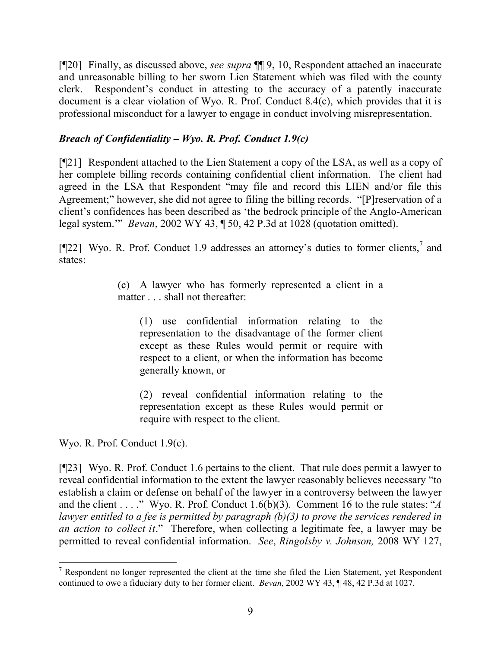[¶20] Finally, as discussed above, *see supra* ¶¶ 9, 10, Respondent attached an inaccurate and unreasonable billing to her sworn Lien Statement which was filed with the county clerk. Respondent's conduct in attesting to the accuracy of a patently inaccurate document is a clear violation of Wyo. R. Prof. Conduct 8.4(c), which provides that it is professional misconduct for a lawyer to engage in conduct involving misrepresentation.

## *Breach of Confidentiality – Wyo. R. Prof. Conduct 1.9(c)*

[¶21] Respondent attached to the Lien Statement a copy of the LSA, as well as a copy of her complete billing records containing confidential client information. The client had agreed in the LSA that Respondent "may file and record this LIEN and/or file this Agreement;" however, she did not agree to filing the billing records. "[P]reservation of a client's confidences has been described as 'the bedrock principle of the Anglo-American legal system.'" *Bevan*, 2002 WY 43, ¶ 50, 42 P.3d at 1028 (quotation omitted).

[¶22] Wyo. R. Prof. Conduct 1.9 addresses an attorney's duties to former clients, $\frac{7}{1}$  and states:

> (c) A lawyer who has formerly represented a client in a matter . . . shall not thereafter:

(1) use confidential information relating to the representation to the disadvantage of the former client except as these Rules would permit or require with respect to a client, or when the information has become generally known, or

(2) reveal confidential information relating to the representation except as these Rules would permit or require with respect to the client.

Wyo. R. Prof. Conduct 1.9(c).

[¶23] Wyo. R. Prof. Conduct 1.6 pertains to the client. That rule does permit a lawyer to reveal confidential information to the extent the lawyer reasonably believes necessary "to establish a claim or defense on behalf of the lawyer in a controversy between the lawyer and the client . . . ." Wyo. R. Prof. Conduct 1.6(b)(3). Comment 16 to the rule states: "*A lawyer entitled to a fee is permitted by paragraph (b)(3) to prove the services rendered in an action to collect it*." Therefore, when collecting a legitimate fee, a lawyer may be permitted to reveal confidential information. *See*, *Ringolsby v. Johnson,* 2008 WY 127,

  $<sup>7</sup>$  Respondent no longer represented the client at the time she filed the Lien Statement, yet Respondent</sup> continued to owe a fiduciary duty to her former client. *Bevan*, 2002 WY 43, ¶ 48, 42 P.3d at 1027.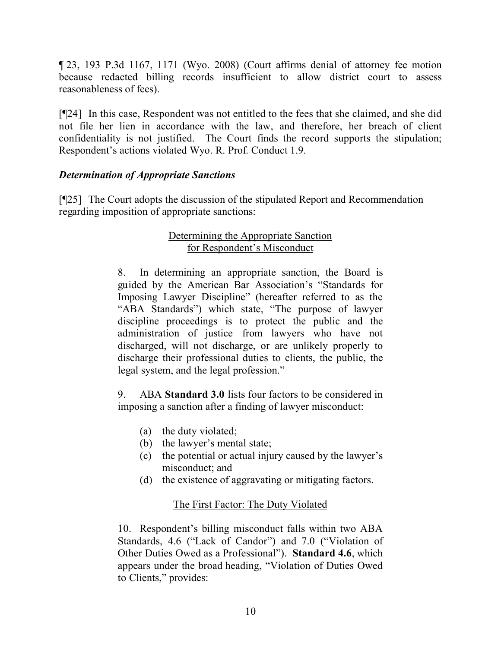¶ 23, 193 P.3d 1167, 1171 (Wyo. 2008) (Court affirms denial of attorney fee motion because redacted billing records insufficient to allow district court to assess reasonableness of fees).

[¶24] In this case, Respondent was not entitled to the fees that she claimed, and she did not file her lien in accordance with the law, and therefore, her breach of client confidentiality is not justified. The Court finds the record supports the stipulation; Respondent's actions violated Wyo. R. Prof. Conduct 1.9.

## *Determination of Appropriate Sanctions*

[¶25] The Court adopts the discussion of the stipulated Report and Recommendation regarding imposition of appropriate sanctions:

# Determining the Appropriate Sanction for Respondent's Misconduct

8. In determining an appropriate sanction, the Board is guided by the American Bar Association's "Standards for Imposing Lawyer Discipline" (hereafter referred to as the "ABA Standards") which state, "The purpose of lawyer discipline proceedings is to protect the public and the administration of justice from lawyers who have not discharged, will not discharge, or are unlikely properly to discharge their professional duties to clients, the public, the legal system, and the legal profession."

9. ABA **Standard 3.0** lists four factors to be considered in imposing a sanction after a finding of lawyer misconduct:

- (a) the duty violated;
- (b) the lawyer's mental state;
- (c) the potential or actual injury caused by the lawyer's misconduct; and
- (d) the existence of aggravating or mitigating factors.

# The First Factor: The Duty Violated

10. Respondent's billing misconduct falls within two ABA Standards, 4.6 ("Lack of Candor") and 7.0 ("Violation of Other Duties Owed as a Professional"). **Standard 4.6**, which appears under the broad heading, "Violation of Duties Owed to Clients," provides: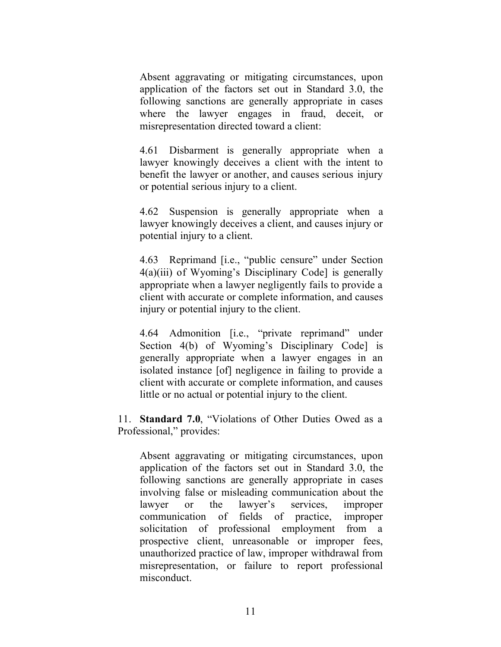Absent aggravating or mitigating circumstances, upon application of the factors set out in Standard 3.0, the following sanctions are generally appropriate in cases where the lawyer engages in fraud, deceit, or misrepresentation directed toward a client:

4.61 Disbarment is generally appropriate when a lawyer knowingly deceives a client with the intent to benefit the lawyer or another, and causes serious injury or potential serious injury to a client.

4.62 Suspension is generally appropriate when a lawyer knowingly deceives a client, and causes injury or potential injury to a client.

4.63 Reprimand [i.e., "public censure" under Section 4(a)(iii) of Wyoming's Disciplinary Code] is generally appropriate when a lawyer negligently fails to provide a client with accurate or complete information, and causes injury or potential injury to the client.

4.64 Admonition [i.e., "private reprimand" under Section 4(b) of Wyoming's Disciplinary Code] is generally appropriate when a lawyer engages in an isolated instance [of] negligence in failing to provide a client with accurate or complete information, and causes little or no actual or potential injury to the client.

11. **Standard 7.0**, "Violations of Other Duties Owed as a Professional," provides:

Absent aggravating or mitigating circumstances, upon application of the factors set out in Standard 3.0, the following sanctions are generally appropriate in cases involving false or misleading communication about the lawyer or the lawyer's services, improper communication of fields of practice, improper solicitation of professional employment from a prospective client, unreasonable or improper fees, unauthorized practice of law, improper withdrawal from misrepresentation, or failure to report professional misconduct.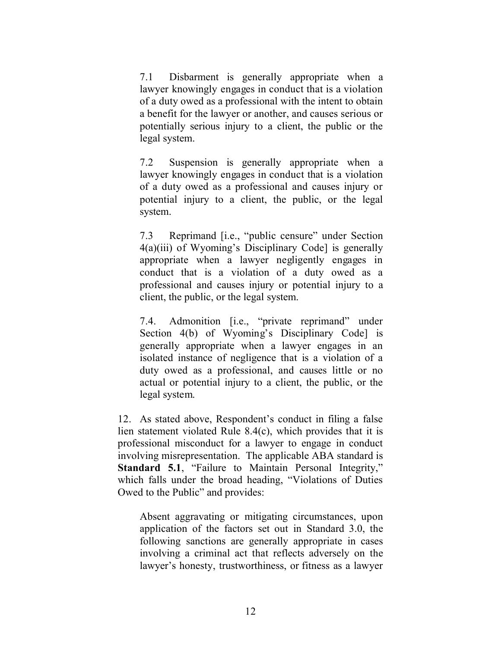7.1 Disbarment is generally appropriate when a lawyer knowingly engages in conduct that is a violation of a duty owed as a professional with the intent to obtain a benefit for the lawyer or another, and causes serious or potentially serious injury to a client, the public or the legal system.

7.2 Suspension is generally appropriate when a lawyer knowingly engages in conduct that is a violation of a duty owed as a professional and causes injury or potential injury to a client, the public, or the legal system.

7.3 Reprimand [i.e., "public censure" under Section 4(a)(iii) of Wyoming's Disciplinary Code] is generally appropriate when a lawyer negligently engages in conduct that is a violation of a duty owed as a professional and causes injury or potential injury to a client, the public, or the legal system.

7.4. Admonition [i.e., "private reprimand" under Section 4(b) of Wyoming's Disciplinary Code] is generally appropriate when a lawyer engages in an isolated instance of negligence that is a violation of a duty owed as a professional, and causes little or no actual or potential injury to a client, the public, or the legal system.

12. As stated above, Respondent's conduct in filing a false lien statement violated Rule 8.4(c), which provides that it is professional misconduct for a lawyer to engage in conduct involving misrepresentation. The applicable ABA standard is **Standard 5.1**, "Failure to Maintain Personal Integrity," which falls under the broad heading, "Violations of Duties Owed to the Public" and provides:

Absent aggravating or mitigating circumstances, upon application of the factors set out in Standard 3.0, the following sanctions are generally appropriate in cases involving a criminal act that reflects adversely on the lawyer's honesty, trustworthiness, or fitness as a lawyer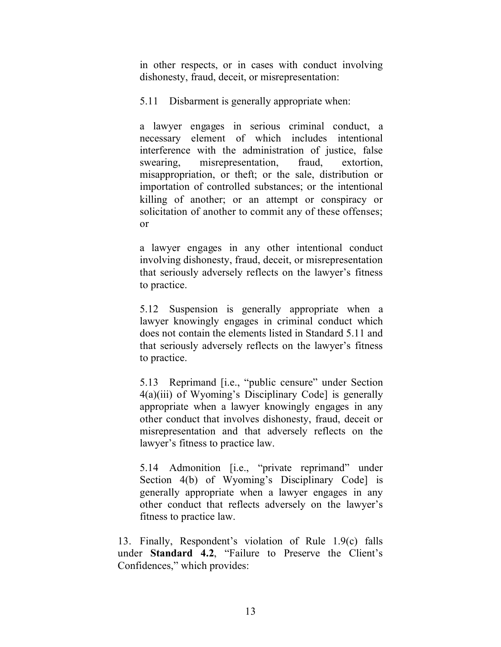in other respects, or in cases with conduct involving dishonesty, fraud, deceit, or misrepresentation:

5.11 Disbarment is generally appropriate when:

a lawyer engages in serious criminal conduct, a necessary element of which includes intentional interference with the administration of justice, false swearing, misrepresentation, fraud, extortion, misappropriation, or theft; or the sale, distribution or importation of controlled substances; or the intentional killing of another; or an attempt or conspiracy or solicitation of another to commit any of these offenses; or

a lawyer engages in any other intentional conduct involving dishonesty, fraud, deceit, or misrepresentation that seriously adversely reflects on the lawyer's fitness to practice.

5.12 Suspension is generally appropriate when a lawyer knowingly engages in criminal conduct which does not contain the elements listed in Standard 5.11 and that seriously adversely reflects on the lawyer's fitness to practice.

5.13 Reprimand [i.e., "public censure" under Section 4(a)(iii) of Wyoming's Disciplinary Code] is generally appropriate when a lawyer knowingly engages in any other conduct that involves dishonesty, fraud, deceit or misrepresentation and that adversely reflects on the lawyer's fitness to practice law.

5.14 Admonition [i.e., "private reprimand" under Section 4(b) of Wyoming's Disciplinary Code] is generally appropriate when a lawyer engages in any other conduct that reflects adversely on the lawyer's fitness to practice law.

13. Finally, Respondent's violation of Rule 1.9(c) falls under **Standard 4.2**, "Failure to Preserve the Client's Confidences," which provides: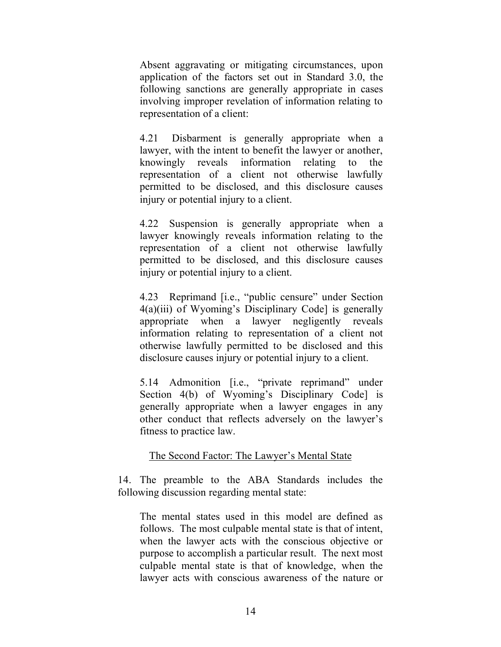Absent aggravating or mitigating circumstances, upon application of the factors set out in Standard 3.0, the following sanctions are generally appropriate in cases involving improper revelation of information relating to representation of a client:

4.21 Disbarment is generally appropriate when a lawyer, with the intent to benefit the lawyer or another, knowingly reveals information relating to the representation of a client not otherwise lawfully permitted to be disclosed, and this disclosure causes injury or potential injury to a client.

4.22 Suspension is generally appropriate when a lawyer knowingly reveals information relating to the representation of a client not otherwise lawfully permitted to be disclosed, and this disclosure causes injury or potential injury to a client.

4.23 Reprimand [i.e., "public censure" under Section 4(a)(iii) of Wyoming's Disciplinary Code] is generally appropriate when a lawyer negligently reveals information relating to representation of a client not otherwise lawfully permitted to be disclosed and this disclosure causes injury or potential injury to a client.

5.14 Admonition [i.e., "private reprimand" under Section 4(b) of Wyoming's Disciplinary Code] is generally appropriate when a lawyer engages in any other conduct that reflects adversely on the lawyer's fitness to practice law.

## The Second Factor: The Lawyer's Mental State

14. The preamble to the ABA Standards includes the following discussion regarding mental state:

The mental states used in this model are defined as follows. The most culpable mental state is that of intent, when the lawyer acts with the conscious objective or purpose to accomplish a particular result. The next most culpable mental state is that of knowledge, when the lawyer acts with conscious awareness of the nature or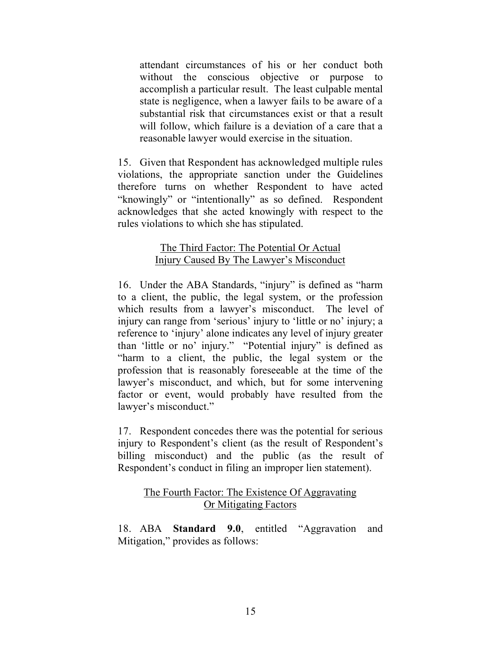attendant circumstances of his or her conduct both without the conscious objective or purpose to accomplish a particular result. The least culpable mental state is negligence, when a lawyer fails to be aware of a substantial risk that circumstances exist or that a result will follow, which failure is a deviation of a care that a reasonable lawyer would exercise in the situation.

15. Given that Respondent has acknowledged multiple rules violations, the appropriate sanction under the Guidelines therefore turns on whether Respondent to have acted "knowingly" or "intentionally" as so defined. Respondent acknowledges that she acted knowingly with respect to the rules violations to which she has stipulated.

#### The Third Factor: The Potential Or Actual Injury Caused By The Lawyer's Misconduct

16. Under the ABA Standards, "injury" is defined as "harm to a client, the public, the legal system, or the profession which results from a lawyer's misconduct. The level of injury can range from 'serious' injury to 'little or no' injury; a reference to 'injury' alone indicates any level of injury greater than 'little or no' injury." "Potential injury" is defined as "harm to a client, the public, the legal system or the profession that is reasonably foreseeable at the time of the lawyer's misconduct, and which, but for some intervening factor or event, would probably have resulted from the lawyer's misconduct."

17. Respondent concedes there was the potential for serious injury to Respondent's client (as the result of Respondent's billing misconduct) and the public (as the result of Respondent's conduct in filing an improper lien statement).

## The Fourth Factor: The Existence Of Aggravating Or Mitigating Factors

18. ABA **Standard 9.0**, entitled "Aggravation and Mitigation," provides as follows: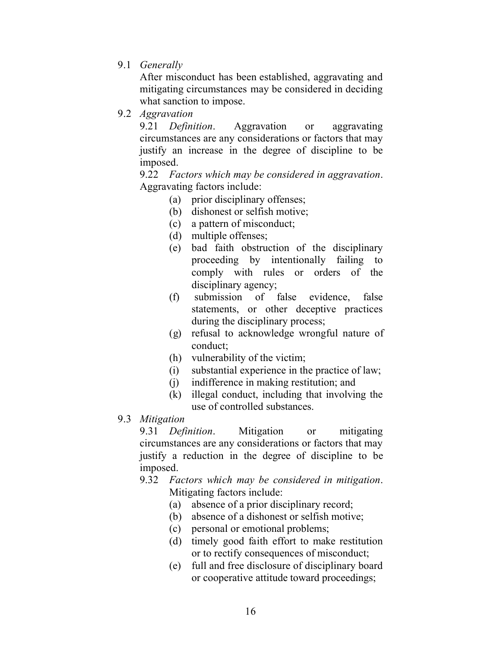9.1 *Generally*

After misconduct has been established, aggravating and mitigating circumstances may be considered in deciding what sanction to impose.

9.2 *Aggravation*

9.21 *Definition*. Aggravation or aggravating circumstances are any considerations or factors that may justify an increase in the degree of discipline to be imposed.

9.22 *Factors which may be considered in aggravation*. Aggravating factors include:

- (a) prior disciplinary offenses;
- (b) dishonest or selfish motive;
- (c) a pattern of misconduct;
- (d) multiple offenses;
- (e) bad faith obstruction of the disciplinary proceeding by intentionally failing to comply with rules or orders of the disciplinary agency;
- (f) submission of false evidence, false statements, or other deceptive practices during the disciplinary process;
- (g) refusal to acknowledge wrongful nature of conduct;
- (h) vulnerability of the victim;
- (i) substantial experience in the practice of law;
- (j) indifference in making restitution; and
- (k) illegal conduct, including that involving the use of controlled substances.
- 9.3 *Mitigation*

9.31 *Definition*. Mitigation or mitigating circumstances are any considerations or factors that may justify a reduction in the degree of discipline to be imposed.

- 9.32 *Factors which may be considered in mitigation*. Mitigating factors include:
	- (a) absence of a prior disciplinary record;
	- (b) absence of a dishonest or selfish motive;
	- (c) personal or emotional problems;
	- (d) timely good faith effort to make restitution or to rectify consequences of misconduct;
	- (e) full and free disclosure of disciplinary board or cooperative attitude toward proceedings;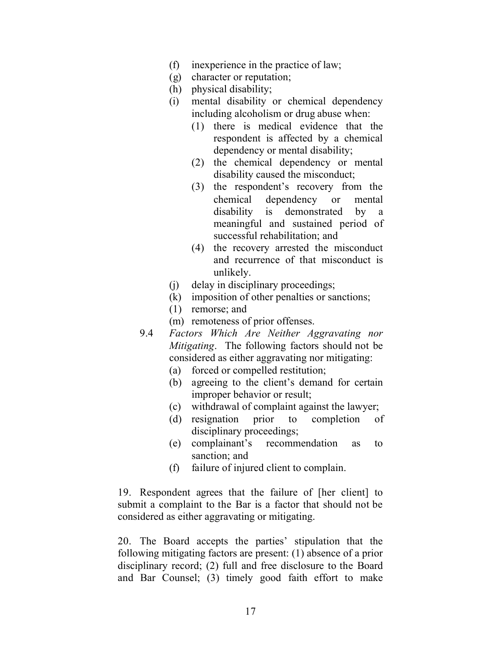- (f) inexperience in the practice of law;
- (g) character or reputation;
- (h) physical disability;
- (i) mental disability or chemical dependency including alcoholism or drug abuse when:
	- (1) there is medical evidence that the respondent is affected by a chemical dependency or mental disability;
	- (2) the chemical dependency or mental disability caused the misconduct;
	- (3) the respondent's recovery from the chemical dependency or mental disability is demonstrated by a meaningful and sustained period of successful rehabilitation; and
	- (4) the recovery arrested the misconduct and recurrence of that misconduct is unlikely.
- (j) delay in disciplinary proceedings;
- (k) imposition of other penalties or sanctions;
- (1) remorse; and
- (m) remoteness of prior offenses.
- 9.4 *Factors Which Are Neither Aggravating nor Mitigating*. The following factors should not be considered as either aggravating nor mitigating:
	- (a) forced or compelled restitution;
	- (b) agreeing to the client's demand for certain improper behavior or result;
	- (c) withdrawal of complaint against the lawyer;
	- (d) resignation prior to completion of disciplinary proceedings;
	- (e) complainant's recommendation as to sanction; and
	- (f) failure of injured client to complain.

19. Respondent agrees that the failure of [her client] to submit a complaint to the Bar is a factor that should not be considered as either aggravating or mitigating.

20. The Board accepts the parties' stipulation that the following mitigating factors are present: (1) absence of a prior disciplinary record; (2) full and free disclosure to the Board and Bar Counsel; (3) timely good faith effort to make